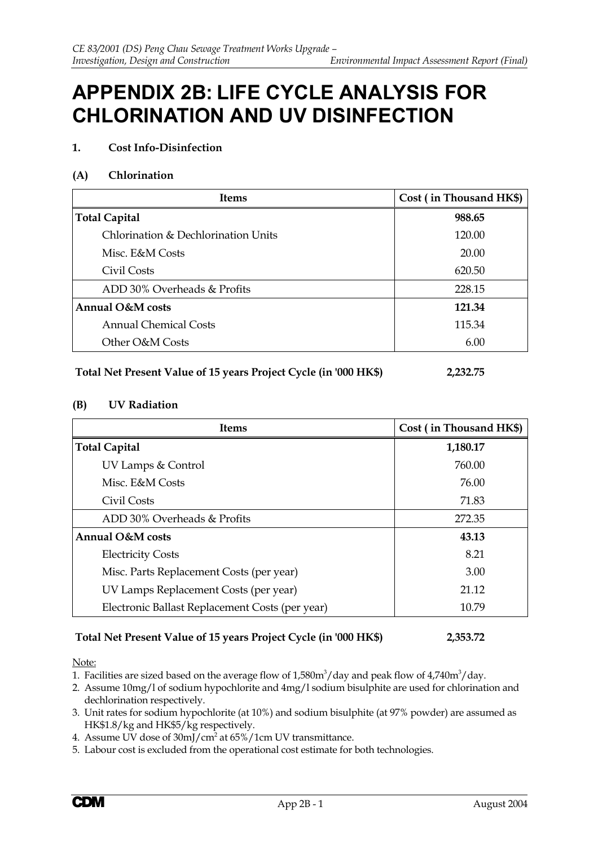# **APPENDIX 2B: LIFE CYCLE ANALYSIS FOR CHLORINATION AND UV DISINFECTION**

## **1. Cost Info-Disinfection**

#### **(A) Chlorination**

| <b>Items</b>                        | Cost (in Thousand HK\$) |
|-------------------------------------|-------------------------|
| <b>Total Capital</b>                | 988.65                  |
| Chlorination & Dechlorination Units | 120.00                  |
| Misc. E&M Costs                     | 20.00                   |
| Civil Costs                         | 620.50                  |
| ADD 30% Overheads & Profits         | 228.15                  |
| Annual O&M costs                    | 121.34                  |
| Annual Chemical Costs               | 115.34                  |
| Other O&M Costs                     | 6.00                    |

| Total Net Present Value of 15 years Project Cycle (in '000 HK\$) |  | 2,232.75 |
|------------------------------------------------------------------|--|----------|
|                                                                  |  |          |

#### **(B) UV Radiation**

| <b>Items</b>                                    | Cost (in Thousand HK\$) |
|-------------------------------------------------|-------------------------|
| <b>Total Capital</b>                            | 1,180.17                |
| UV Lamps & Control                              | 760.00                  |
| Misc. E&M Costs                                 | 76.00                   |
| Civil Costs                                     | 71.83                   |
| ADD 30% Overheads & Profits                     | 272.35                  |
| Annual O&M costs                                | 43.13                   |
| <b>Electricity Costs</b>                        | 8.21                    |
| Misc. Parts Replacement Costs (per year)        | 3.00                    |
| UV Lamps Replacement Costs (per year)           | 21.12                   |
| Electronic Ballast Replacement Costs (per year) | 10.79                   |

# **Total Net Present Value of 15 years Project Cycle (in '000 HK\$) 2,353.72**

Note:

1. Facilities are sized based on the average flow of 1,580 $\rm m^3/\rm day$  and peak flow of 4,740 $\rm m^3/\rm day$ .

2. Assume 10mg/l of sodium hypochlorite and 4mg/l sodium bisulphite are used for chlorination and dechlorination respectively.

- 3. Unit rates for sodium hypochlorite (at 10%) and sodium bisulphite (at 97% powder) are assumed as HK\$1.8/kg and HK\$5/kg respectively.
- 4. Assume UV dose of 30mJ/cm<sup>2</sup> at 65%/1cm UV transmittance.
- 5. Labour cost is excluded from the operational cost estimate for both technologies.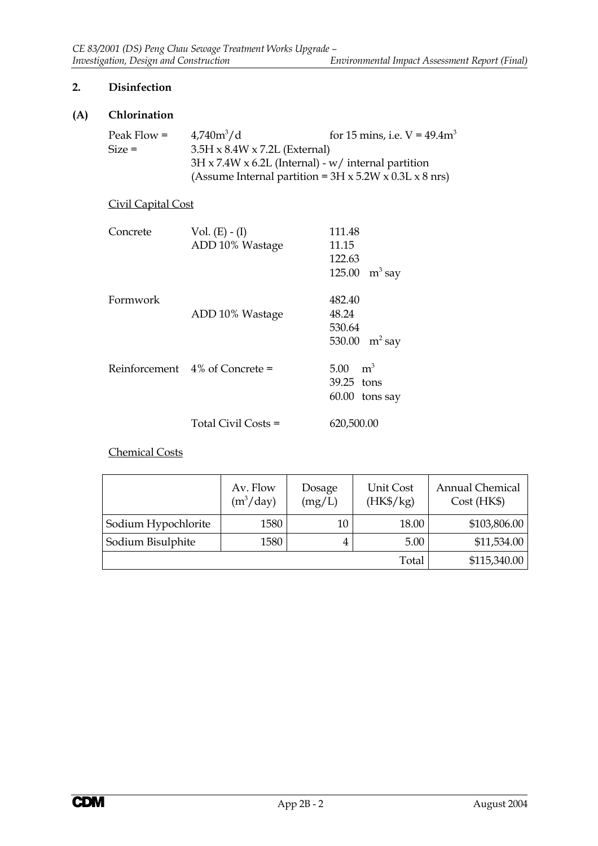# **2. Disinfection**

# **(A) Chlorination**

| Peak Flow $=$ | $4,740m^3/d$                                                            | for 15 mins, i.e. $V = 49.4 m^3$                                |  |  |  |  |  |  |
|---------------|-------------------------------------------------------------------------|-----------------------------------------------------------------|--|--|--|--|--|--|
| $Size =$      | $3.5H \times 8.4W \times 7.2L$ (External)                               |                                                                 |  |  |  |  |  |  |
|               |                                                                         | $3H \times 7.4W \times 6.2L$ (Internal) - w/ internal partition |  |  |  |  |  |  |
|               | (Assume Internal partition = $3H \times 5.2W \times 0.3L \times 8$ nrs) |                                                                 |  |  |  |  |  |  |

# Civil Capital Cost

| Concrete | Vol. $(E) - (I)$<br>ADD 10% Wastage | 111.48<br>11.15<br>122.63<br>125.00 $m^3$ say                |
|----------|-------------------------------------|--------------------------------------------------------------|
| Formwork | ADD 10% Wastage                     | 482.40<br>48.24<br>530.64<br>530.00 $m^2$ say                |
|          | Reinforcement 4% of Concrete =      | m <sup>3</sup><br>$5.00 -$<br>39.25 tons<br>$60.00$ tons say |
|          | Total Civil Costs =                 | 620,500.00                                                   |

## Chemical Costs

|                     | Av. Flow<br>$(m^3 / day)$ | Dosage<br>(mg/L) | Unit Cost<br>$(HK\$/kg)$ | <b>Annual Chemical</b><br>Cost(HK\$) |  |  |  |
|---------------------|---------------------------|------------------|--------------------------|--------------------------------------|--|--|--|
| Sodium Hypochlorite | 1580                      | 10               | 18.00                    | \$103,806.00                         |  |  |  |
| Sodium Bisulphite   | 1580                      |                  | 5.00                     | \$11,534.00                          |  |  |  |
|                     |                           |                  | Total                    | \$115,340.00                         |  |  |  |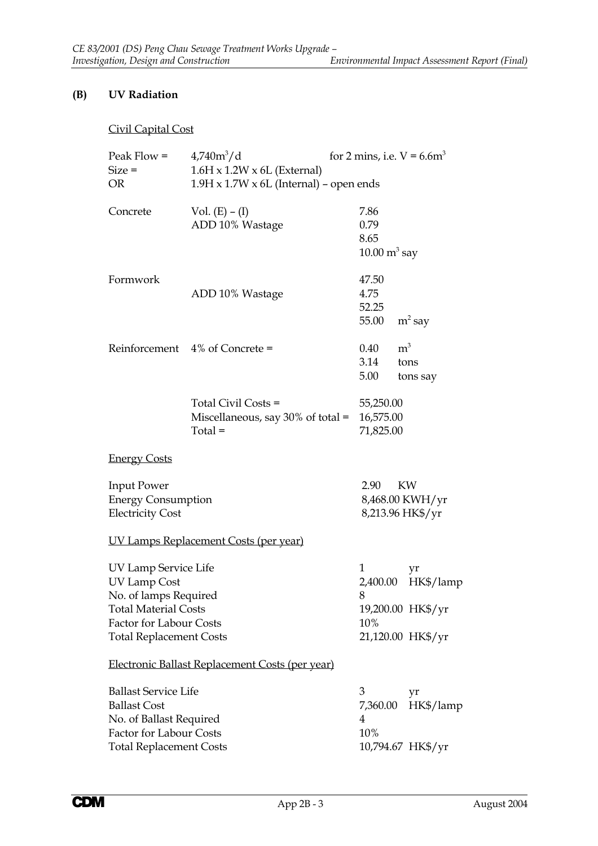# **(B) UV Radiation**

# Civil Capital Cost

| Peak Flow $=$<br>$Size =$      | $4,740m^{3}/d$<br>$1.6H \times 1.2W \times 6L$ (External) | for 2 mins, i.e. $V = 6.6m^3$   |                   |  |  |  |  |  |  |  |
|--------------------------------|-----------------------------------------------------------|---------------------------------|-------------------|--|--|--|--|--|--|--|
| <b>OR</b>                      | $1.9H \times 1.7W \times 6L$ (Internal) – open ends       |                                 |                   |  |  |  |  |  |  |  |
|                                |                                                           |                                 |                   |  |  |  |  |  |  |  |
| Concrete                       | Vol. $(E) - (I)$                                          | 7.86                            |                   |  |  |  |  |  |  |  |
|                                | ADD 10% Wastage                                           | 0.79                            |                   |  |  |  |  |  |  |  |
|                                |                                                           | 8.65                            |                   |  |  |  |  |  |  |  |
|                                |                                                           | $10.00 \text{ m}^3 \text{ say}$ |                   |  |  |  |  |  |  |  |
|                                |                                                           |                                 |                   |  |  |  |  |  |  |  |
| Formwork                       |                                                           | 47.50                           |                   |  |  |  |  |  |  |  |
|                                | ADD 10% Wastage                                           | 4.75                            |                   |  |  |  |  |  |  |  |
|                                |                                                           | 52.25                           |                   |  |  |  |  |  |  |  |
|                                |                                                           | 55.00                           | $m^2$ say         |  |  |  |  |  |  |  |
|                                | Reinforcement $4\%$ of Concrete =                         | $0.40\,$                        | m <sup>3</sup>    |  |  |  |  |  |  |  |
|                                |                                                           | 3.14                            | tons              |  |  |  |  |  |  |  |
|                                |                                                           | 5.00                            | tons say          |  |  |  |  |  |  |  |
|                                |                                                           |                                 |                   |  |  |  |  |  |  |  |
|                                | Total Civil Costs =                                       | 55,250.00                       |                   |  |  |  |  |  |  |  |
|                                | Miscellaneous, say $30\%$ of total =                      |                                 | 16,575.00         |  |  |  |  |  |  |  |
|                                | $Total =$                                                 | 71,825.00                       |                   |  |  |  |  |  |  |  |
| <b>Energy Costs</b>            |                                                           |                                 |                   |  |  |  |  |  |  |  |
|                                |                                                           |                                 |                   |  |  |  |  |  |  |  |
| <b>Input Power</b>             |                                                           | 2.90                            | KW                |  |  |  |  |  |  |  |
| <b>Energy Consumption</b>      |                                                           |                                 | 8,468.00 KWH/yr   |  |  |  |  |  |  |  |
| <b>Electricity Cost</b>        |                                                           |                                 | 8,213.96 HK\$/yr  |  |  |  |  |  |  |  |
|                                | <u>UV Lamps Replacement Costs (per year)</u>              |                                 |                   |  |  |  |  |  |  |  |
| UV Lamp Service Life           |                                                           | 1                               | yr                |  |  |  |  |  |  |  |
| UV Lamp Cost                   |                                                           | 2,400.00                        | HK\$/lamp         |  |  |  |  |  |  |  |
| No. of lamps Required          |                                                           | 8                               |                   |  |  |  |  |  |  |  |
| <b>Total Material Costs</b>    |                                                           |                                 | 19,200.00 HK\$/yr |  |  |  |  |  |  |  |
| Factor for Labour Costs        |                                                           | 10%                             |                   |  |  |  |  |  |  |  |
| <b>Total Replacement Costs</b> |                                                           |                                 | 21,120.00 HK\$/yr |  |  |  |  |  |  |  |
|                                | Electronic Ballast Replacement Costs (per year)           |                                 |                   |  |  |  |  |  |  |  |
| <b>Ballast Service Life</b>    |                                                           | 3                               | yr                |  |  |  |  |  |  |  |
| <b>Ballast Cost</b>            |                                                           | 7,360.00                        | HK\$/lamp         |  |  |  |  |  |  |  |
| No. of Ballast Required        |                                                           | 4                               |                   |  |  |  |  |  |  |  |
| Factor for Labour Costs        |                                                           | 10%                             |                   |  |  |  |  |  |  |  |
| <b>Total Replacement Costs</b> |                                                           |                                 | 10,794.67 HK\$/yr |  |  |  |  |  |  |  |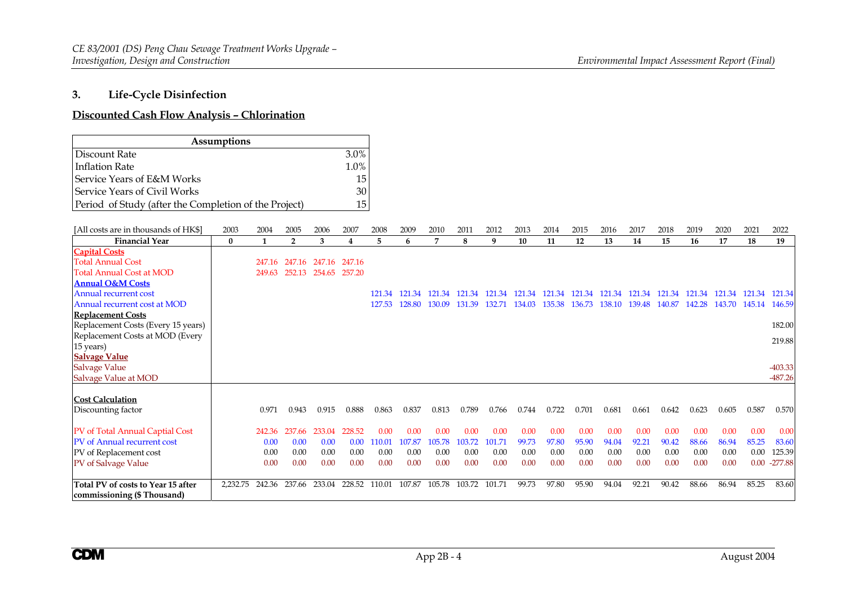#### **3.Life-Cycle Disinfection**

#### **Discounted Cash Flow Analysis – Chlorination**

|                                                       | <b>Assumptions</b> |        |                |        |                         |        |        |               |        |        |        |               |                                    |        |               |        |        |               |        |                        |
|-------------------------------------------------------|--------------------|--------|----------------|--------|-------------------------|--------|--------|---------------|--------|--------|--------|---------------|------------------------------------|--------|---------------|--------|--------|---------------|--------|------------------------|
| Discount Rate                                         |                    |        |                |        | 3.0%                    |        |        |               |        |        |        |               |                                    |        |               |        |        |               |        |                        |
| <b>Inflation Rate</b>                                 |                    |        |                |        | 1.0%                    |        |        |               |        |        |        |               |                                    |        |               |        |        |               |        |                        |
| Service Years of E&M Works                            |                    |        |                |        | 15                      |        |        |               |        |        |        |               |                                    |        |               |        |        |               |        |                        |
| Service Years of Civil Works                          |                    |        |                |        | 30                      |        |        |               |        |        |        |               |                                    |        |               |        |        |               |        |                        |
| Period of Study (after the Completion of the Project) |                    |        |                |        | 15                      |        |        |               |        |        |        |               |                                    |        |               |        |        |               |        |                        |
| [All costs are in thousands of HK\$]                  | 2003               | 2004   | 2005           | 2006   | 2007                    | 2008   | 2009   | 2010          | 2011   | 2012   | 2013   | 2014          | 2015                               | 2016   | 2017          | 2018   | 2019   | 2020          | 2021   | 2022                   |
| <b>Financial Year</b>                                 | $\bf{0}$           | 1      | $\overline{2}$ | 3      | $\overline{\mathbf{4}}$ | 5      | 6      | 7             | 8      | 9      | 10     | 11            | 12                                 | 13     | 14            | 15     | 16     | 17            | 18     | 19                     |
| <b>Capital Costs</b>                                  |                    |        |                |        |                         |        |        |               |        |        |        |               |                                    |        |               |        |        |               |        |                        |
| <b>Total Annual Cost</b>                              |                    | 247.16 | 247.16         | 247.16 | 247.16                  |        |        |               |        |        |        |               |                                    |        |               |        |        |               |        |                        |
| <b>Total Annual Cost at MOD</b>                       |                    | 249.63 | 252.13         | 254.65 | 257.20                  |        |        |               |        |        |        |               |                                    |        |               |        |        |               |        |                        |
| <b>Annual O&amp;M Costs</b>                           |                    |        |                |        |                         |        |        |               |        |        |        |               |                                    |        |               |        |        |               |        |                        |
| <b>Annual recurrent cost</b>                          |                    |        |                |        |                         | 121.34 |        | 121.34 121.34 |        |        |        |               | 121.34 121.34 121.34 121.34 121.34 | 121.34 | 121.34        | 121.34 | 121.34 | 121.34        | 121.34 | 121.34                 |
| Annual recurrent cost at MOD                          |                    |        |                |        |                         | 127.53 | 128.80 | 130.09        | 131.39 | 132.71 | 134.03 | 135.38 136.73 |                                    |        | 138.10 139.48 | 140.87 | 142.28 | 143.70 145.14 |        | 146.59                 |
| <b>Replacement Costs</b>                              |                    |        |                |        |                         |        |        |               |        |        |        |               |                                    |        |               |        |        |               |        |                        |
| Replacement Costs (Every 15 years)                    |                    |        |                |        |                         |        |        |               |        |        |        |               |                                    |        |               |        |        |               |        | 182.00                 |
| Replacement Costs at MOD (Every                       |                    |        |                |        |                         |        |        |               |        |        |        |               |                                    |        |               |        |        |               |        | 219.88                 |
| 15 years)                                             |                    |        |                |        |                         |        |        |               |        |        |        |               |                                    |        |               |        |        |               |        |                        |
| <b>Salvage Value</b>                                  |                    |        |                |        |                         |        |        |               |        |        |        |               |                                    |        |               |        |        |               |        |                        |
| Salvage Value                                         |                    |        |                |        |                         |        |        |               |        |        |        |               |                                    |        |               |        |        |               |        | $-403.33$<br>$-487.26$ |
| Salvage Value at MOD                                  |                    |        |                |        |                         |        |        |               |        |        |        |               |                                    |        |               |        |        |               |        |                        |
| <b>Cost Calculation</b>                               |                    |        |                |        |                         |        |        |               |        |        |        |               |                                    |        |               |        |        |               |        |                        |
| Discounting factor                                    |                    | 0.971  | 0.943          | 0.915  | 0.888                   | 0.863  | 0.837  | 0.813         | 0.789  | 0.766  | 0.744  | 0.722         | 0.701                              | 0.681  | 0.661         | 0.642  | 0.623  | 0.605         | 0.587  | 0.570                  |
| PV of Total Annual Captial Cost                       |                    | 242.36 | 237.66         | 233.04 | 228.52                  | 0.00   | 0.00   | 0.00          | 0.00   | 0.00   | 0.00   | 0.00          | 0.00                               | 0.00   | 0.00          | 0.00   | 0.00   | 0.00          | 0.00   | 0.00                   |
| PV of Annual recurrent cost                           |                    | 0.00   | 0.00           | 0.00   | 0.00                    | 110.01 | 107.87 | 105.78        | 103.72 | 101.71 | 99.73  | 97.80         | 95.90                              | 94.04  | 92.21         | 90.42  | 88.66  | 86.94         | 85.25  | 83.60                  |
| PV of Replacement cost                                |                    | 0.00   | 0.00           | 0.00   | 0.00                    | 0.00   | 0.00   | 0.00          | 0.00   | 0.00   | 0.00   | 0.00          | 0.00                               | 0.00   | 0.00          | 0.00   | 0.00   | 0.00          | 0.00   | 125.39                 |
| PV of Salvage Value                                   |                    | 0.00   | 0.00           | 0.00   | 0.00                    | 0.00   | 0.00   | 0.00          | 0.00   | 0.00   | 0.00   | 0.00          | 0.00                               | 0.00   | 0.00          | 0.00   | 0.00   | 0.00          |        | $0.00 -277.88$         |
| Total PV of costs to Year 15 after                    | 2,232.75           | 242.36 | 237.66         | 233.04 | 228.52                  | 110.01 | 107.87 | 105.78        | 103.72 | 101.71 | 99.73  | 97.80         | 95.90                              | 94.04  | 92.21         | 90.42  | 88.66  | 86.94         | 85.25  | 83.60                  |
| commissioning (\$ Thousand)                           |                    |        |                |        |                         |        |        |               |        |        |        |               |                                    |        |               |        |        |               |        |                        |